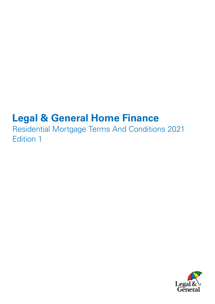# **Legal & General Home Finance**

Residential Mortgage Terms And Conditions 2021 Edition 1

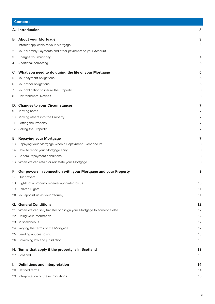| <b>Contents</b> |                                                                        |                |
|-----------------|------------------------------------------------------------------------|----------------|
|                 | A. Introduction                                                        | 3              |
| В.              | <b>About your Mortgage</b>                                             | 3              |
| 1.              | Interest applicable to your Mortgage                                   | 3              |
| 2.              | Your Monthly Payments and other payments to your Account               | 3              |
| 3.              | Charges you must pay                                                   | 4              |
| 4.              | Additional borrowing                                                   | 5              |
| C.              | What you need to do during the life of your Mortgage                   | 5              |
| 5.              | Your payment obligations                                               | 5              |
| 6.              | Your other obligations                                                 | 5              |
| 7.              | Your obligation to insure the Property                                 | 6              |
| 8.              | <b>Environmental Notices</b>                                           | 6              |
| D.              | <b>Changes to your Circumstances</b>                                   | 7              |
| 9.              | Moving home                                                            | 7              |
|                 | 10. Moving others into the Property                                    | $\overline{7}$ |
|                 | 11. Letting the Property                                               | 7              |
|                 | 12. Selling the Property                                               | $\overline{7}$ |
| Е.              | <b>Repaying your Mortgage</b>                                          | 7              |
|                 | 13. Repaying your Mortgage when a Repayment Event occurs               | 8              |
|                 | 14. How to repay your Mortgage early                                   | 8              |
|                 | 15. General repayment conditions                                       | 8              |
|                 | 16. When we can retain or reinstate your Mortgage                      | 8              |
| Е.              | Our powers in connection with your Mortgage and your Property          | 9              |
|                 | 17. Our powers                                                         | 9              |
|                 | 18. Rights of a property receiver appointed by us                      | 10             |
|                 | 19. Related Rights                                                     | 11             |
|                 | 20. You appoint us as your attorney                                    | 11             |
|                 | <b>G.</b> General Conditions                                           | 12             |
|                 | 21. When we can sell, transfer or assign your Mortgage to someone else | 12             |
|                 | 22. Using your information                                             | 12             |
|                 | 23. Miscellaneous                                                      | 12             |
|                 | 24. Varying the terms of the Mortgage                                  | 12             |
|                 | 25. Sending notices to you                                             | 13             |
|                 | 26. Governing law and jurisdiction                                     | 13             |
|                 | H. Terms that apply if the property is in Scotland                     | 13             |
|                 | 27. Scotland                                                           | 13             |
| ı.              | <b>Definitions and Interpretation</b>                                  | 14             |
|                 | 28. Defined terms                                                      | 14             |
|                 | 29. Interpretation of these Conditions                                 | 15             |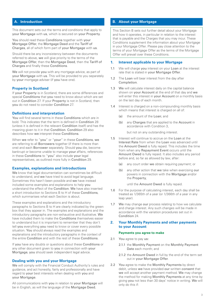# <span id="page-2-0"></span>**A. Introduction**

This document sets out the terms and conditions that apply to your Mortgage with us, which is secured on your Property.

You should read these Conditions together with your Mortgage Offer, the Mortgage Deed and the Tariff of Charges, all of which form part of your Mortgage with us.

Should there be any inconsistency between the documents referred to above, we will give priority to the terms of the Mortgage Offer, then the Mortgage Deed, then the Tariff of Charges and finally these Conditions.

We will not provide you with any mortgage advice, as part of your Mortgage with us. This will be provided to you separately by your mortgage adviser (if you have one).

#### **Property in Scotland**

If your Property is in Scotland, there are some differences and special Conditions that you need to know about which are set out in Condition 27. If your Property is not in Scotland, then you do not need to consider Condition 27.

#### **Definitions and interpretation**

You will find several terms in these Conditions which are in bold. This indicates that the term is defined in Condition 28 (unless it is defined in the relevant Condition itself) and has the meaning given to it in that Condition. Condition 29 also describes how we interpret these Conditions.

When we refer to "you" or "your" in these Conditions, we are referring to all Borrowers together (if there is more than one) and each Borrower separately. Should you die, become bankrupt or become unable to manage your affairs, references in these Conditions to "you" also include your legal representatives, as outlined more fully in Condition 29.

#### **Examples, explanations and introductions**

We know that legal documentation can sometimes be difficult to understand, and we have tried to avoid legal language. Sometimes this hasn't been possible and we have instead included some examples and explanations to help you understand the effect of the Condition. We have also inserted a short introduction to Sections B to H of these Conditions, which summarises what each Section is about.

These examples and explanations and the introductory paragraphs to Sections B to H are clearly indicated by the green box that they appear in. The examples and explanations and the introductory paragraphs are non-exhaustive and illustrative. We have included them to make the Conditions themselves easier to understand but it is important to remember that they don't tell you everything you need to know or cover every possible situation. You should always read the examples and explanations and the introductory paragraphs in the context of the entire Condition and with the rest of these Conditions.

If you have any doubts or questions about these Conditions or any other document given to you in connection with your Mortgage, you should seek independent legal advice.

## **Dealing with you and your Mortgage**

We will comply with the Financial Conduct Authority's rules and guidance, and act honestly, fairly and professionally and have regard to your best interests when dealing with you and your Mortgage.

All communications with you in relation to your Mortgage will be in English, as will the language of the Mortgage Deed.

# **B. About your Mortgage**

This Section B sets out further detail about your Mortgage and how it operates, in particular in relation to the interest that is payable and the Charges that you may incur. These Conditions supplement the information about your Mortgage in your Mortgage Offer. Please pay close attention to the terms of your Mortgage Offer as the terms of the Mortgage Offer will prevail over these Conditions.

## **1. Interest applicable to your Mortgage**

- 1.1 We will charge you interest on your Loan at the interest rate that is stated in your Mortgage Offer.
- 1.2 The Loan will bear interest from the day after Completion.
- 1.3 We will calculate interest daily on the capital balance shown on your Account at the end of that day and we will enter this interest in your Account on a monthly basis on the last day of each month.
- 1.4 Interest is charged on a non-compounding monthly basis which means that interest is charged on all of:
	- (a) the amount of the Loan; and
	- (b) any Charges that are applied to the Account in accordance with Condition 3,

but not on any outstanding interest.

- 1.5 Interest will continue to accrue on the Loan at the Interest Rate from when the Loan was advanced until the Amount Owed is fully repaid. This includes the time from when any Repayment Event occurs until the Amount Owed is fully repaid. It also includes any period before and, so far as allowed by law, after:
	- (a) any court order we obtain requiring payment; or
	- (b) any other action that we take when exercising our powers in connection with the Mortgage and/or the Property,

until the Amount Owed is fully repaid.

- 1.6 For the purpose of calculating interest, each day shall be treated as 1/365th of a year (or 1/366th of a year in any leap year).
- 1.7 We may change our process relating to how we calculate and charge interest. Any such changes will be made in accordance with the variation procedures set out in Condition 24.

#### **2. Your Monthly Payments and other payments to your Account**

#### **Payments you agree to make**

- 2.1 You agree to pay us:
	- 2.1.1 the Monthly Payment on the Monthly Payment Date each month; and
	- 2.1.2 the Amount Owed in full by the end of the term set out in your Mortgage Offer.
- 2.2 You agree to make the Monthly Payments by direct debit, unless we have provided our written consent that we will accept another payment method. We may change the method for making Monthly Payments at any time by giving you not less than 30 days' notice in writing. We will only do this if: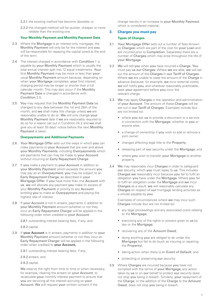- <span id="page-3-0"></span>2.2.1 the existing method has become obsolete; or
- 2.2.2 the changed method will be quicker, cheaper or more reliable than the existing one.

#### **Your Monthly Payment and Monthly Payment Date**

- 2.3 Where the Mortgage is an interest-only mortgage, the Monthly Payment will only be for the interest and you will be responsible for repaying the capital owed at the end of the term.
- 2.4 The interest charged in accordance with Condition 1 is payable by your Monthly Payment which is usually the total annual interest split into 12 equal instalments. Your first Monthly Payment may be more or less than your usual Monthly Payment amount because, depending on when your Mortgage completes, your first interest charging period may be longer or shorter than a full calendar month. This may also occur if the Monthly Payment Date is changed in accordance with Condition 2.5.
- 2.5 You may request that the Monthly Payment Date be changed to any date between the 1st and 28th of the month, and we shall make this change unless we are reasonably unable to do so. We will only change your Monthly Payment date if we are reasonably required to do so for a reason set out in Condition 24.2 and we shall give you at least 30 days' notice before the next Monthly Payment is taken.

#### **Overpayments and Additional Payments**

- 2.6 Your Mortgage Offer sets out the ways in which you can make payments to your Account that are over and above your Monthly Payments, including Overpayments which are payments that can may be made to your Account without incurring an Early Repayment Charge.
- 2.7 If you make a payment to your Account in addition to your Monthly Payment which exceeds the amount you may pay as an Overpayment, you may be subject to an Early Repayment Charge, as described in your Mortgage Offer. If you have more than one Account with us, we will allocate any payment you make (in excess of your Monthly Payment) in priority to any Account entitling you to make an Overpayment and paying the highest rate of interest.
- 2.8 If your Account is not in arrears, payments in addition to your Monthly Payment amount (whether or not they incur an Early Repayment Charge) will be applied in the following order when credited to your Account:

2.8.1 outstanding interest bearing fees, if any; and

2.8.2 capital.

2.9 If **your Account** is in arrears, payments in addition to your Monthly Payment amount (whether or not they incur an Early Repayment Charge) will be applied in the following order when credited to **your Account,**

2.9.1 outstanding interest bearing fees, if any;

2.9.2 arrears; and

2.9.3 capital.

We reserve the right from time to time or when necessary, for example, clearing the arrears on your Account, to recalculate your monthly interest payment to ensure that you are servicing all the interest accruing on your Account. We will request your written consent if the

change results in an increase to your Monthly Payment which is considered material.

## **3. Charges you must pay**

#### **Types of Charges**

- 3.1 Your Mortgage Offer sets out a number of fees (known as Charges) which are part of the cost for your Loan and are incurred prior to Completion. Separately there are a number of Charges which may arise throughout the life of your Mortgage.
- 3.2 We will tell you when you have incurred a Charge. You must pay us our Charges. Where we are able, we will set out the amount of the Charges in our Tariff of Charges. Where we are unable to state the amount of the Charge in advance (because, for example, we incur external costs), we will notify you, and wherever reasonably practicable. seek your agreement before you incur the relevant charge.
- 3.3 We may apply Charges in the operation and administration of your Account. The amount of these Charges will be set out in our Tariff of Charges. Examples include (but are not limited to):
	- where you ask us to provide a document or a service in connection with the Mortgage, whether to you or anyone else;
	- a change of ownership if you wish to add or remove a joint owner:
	- changes affecting legal title to the Property;
	- releasing part of our security under the Mortgage; and
	- where you wish to transfer your Mortgage to another property.
- 3.4 We may reasonably incur Charges in order to safeguard our security, which you must repay to us. This includes Charges we reasonably incur because you fail to fulfil an obligation you have under the Mortgage. Where you fail to fulfil an obligation under the Mortgage and we incur Charges as a result, we will reasonably calculate any Charges (in respect of our mortgage lending activities as a whole) payable by you.

Examples of circumstances where we may incur such Charges include (but are not limited to):

- any legal proceedings and any associated costs relating to the Mortgage;
- exercising any of the rights or powers given to us by law or the Mortgage;
- recovering any of the Amount Owed;
- doing anything you are obliged to do under the Mortgage but fail to do (such as insuring or repairing the Property);
- taking action when there is an Event of Default; and
- protecting or preserving our security.
- 3.5 Where Charges are incurred because you have not complied with the terms of your Mortgage, any action taken by us or on our behalf to protect our security does not stop you being in breach. Similarly, your repayment of the Charge, or the addition of the Charge to the Amount Owed, does not stop you being in breach.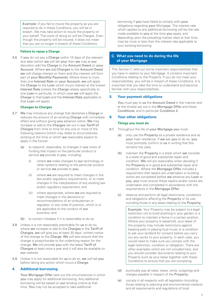<span id="page-4-0"></span>Example: if you fail to insure the property as you are required to do in these Conditions, you will be in breach. We may take action to insure the property on your behalf. The costs of doing so will be Charges. Even though the property will be insured, it does not mean that you are no longer in breach of these Conditions.

#### **Failure to repay a Charge**

3.6 If you do not pay a Charge within 10 days of the relevant due date (which we will tell you) then we may at our discretion add the Charge to the Amount Owed on your Account. Where we add Charges to the Amount Owed we will charge interest on them and this interest will form part of your Monthly Payments. Where there is more than one Interest Rate on your Account, we will apply the Charge to the Loan which incurs interest at the lowest Interest Rate (unless the Charge relates specifically to one Loan in particular, in which case we will apply the Charge to that Loan and the Interest Rate applicable to that Loan will apply).

#### **Changes to Charges**

- 3.7 We may introduce any change that abolishes a Charge or reduces the amount of an existing Charge with immediate effect and without giving you advance notice. We may increase or add to the Charges set out in our Tariff of Charges from time to time for any one or more of the following reasons (which may relate to circumstances existing at the time or which we reasonably expect to apply in the future):
	- (a) to respond, reasonably, to changes in our costs of funding that impact on the particular product or service we provide to you, including:
		- (i) where we make changes to our technology or other systems relating to the particular product or service we provide to you;
		- (ii) where we are required to meet changes in the law and/or regulatory requirements, or to meet changes in the interpretation of any existing law and/or regulatory requirement; and
		- (iii) where appropriate, where we are required to meet changes in the decisions or recommendations of an ombudsman or regulator, or any code of practice, which is or are applicable to the conduct of our business; and
	- (b) to correct mistakes if it is reasonable to do so.
- 3.8 Unless it is not reasonably practicable for us to do so, where we increase or add to the Charges in the Tariff of Charges, we will give you at least 30 days' written notice of the change to the Charge. We will also ensure that the change is proportionate to the underlying reason for the change. We will provide you with the latest Tariff of Charges at least once a year and it will also be available on our website.
- 3.9 Unless it is not reasonable for us to do so, we will tell you before taking any action which incurs a Charge.

# **4. Additional borrowing**

Your Mortgage Offer sets out the circumstances in which you may apply for additional borrowing. Any additional borrowing will be based on our lending criteria at that time. You may not be accepted to take additional

borrowing if you have failed to comply with your obligations regarding your Mortgage. The interest rate which applies to any additional borrowing will be the rate made available to you at the time you apply, and depending upon the prevailing market rates at that time, may be more or less than the interest rate applicable to your existing borrowing.

## **C. What you need to do during the life of your Mortgage**

This Section C sets out some important responsibilities that you have in relation to your Mortgage. It contains important Conditions relating to the Property. If you do not meet your responsibilities, you will be in breach of these Conditions. It is important that you take the time to understand and become familiar with your responsibilities.

#### **5. Your payment obligations**

You must pay to us the Amount Owed in the manner and at the time(s) set out in the Mortgage Offer and these Conditions, and in particular Condition 2.

## **6. Your other obligations**

#### **Things you must do**

- 6.1 Throughout the life of your Mortgage you must:
	- (a) only use the Property as a private residence and as your main residence. If we ask you to do so, you must promptly confirm to us in writing that this remains the case;
	- (b) maintain the Property in a state which we consider is a state of good and substantial repair and condition. We will act reasonably when deciding if the Property is in good and substantial repair and condition. Where the Mortgage Offer includes a requirement that repairs are undertaken or building works are completed before we advance any Loan to you, you must ensure these repairs and/or works are undertaken and completed in accordance with the requirements in the Mortgage Offer;
	- (c) observe and perform all legal restrictions, conditions and obligations affecting the Property or its use, including those in any lease relating to the Property;

Example: Your Property may be subject to a legal restriction not to build anything in your garden or a condition to maintain a fence in a certain position. Where your property is leasehold, your lease of the property may include restrictions against keeping pets or playing loud music or a condition to ask your landlord for consent before you carry out any works to your property. In each case, you would need to make sure you comply with the legal restriction, condition or obligation. There are other examples which are not included here, and you should consider documents relating to your Property such as your lease together with these Conditions to ensure that you are complying.

- (d) punctually pay all rates, taxes, rents, outgoings and charges payable in respect of the Property;
- (e) comply in all respects with all legislation (including those relating to planning and environmental matters) and all requirements and regulations of local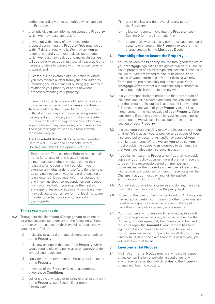<span id="page-5-0"></span>authorities and any other authorities which apply to the Property;

- (f) promptly give us any information about the Property which we may reasonably ask for:
- (g) provide us with a copy of any notice, order or proposal concerning the Property. You must do so within 7 days of receiving it. We may ask you to respond to it and you must make all statements which we reasonably ask you to make. Unless we tell you otherwise, you must take all reasonable and necessary steps to comply with the notice, order or proposal; and

Example: One example of such notice is where you may receive a letter from your local authority informing you of a breach of building regulations in relation to your property or about new road proposals affecting your property.

(h) where the Property is leasehold, inform us of any notice served under any of the Leasehold Reform Acts in relation to the Property. You must do so within 4 working days of the notice being served. If we request you to do so, you must also execute in our favour a legal mortgage of the freehold, or any superior lease or any new lease, which you obtain. The legal mortgage must be in a form that we reasonably require.

> The Leasehold Reform Acts mean the Leasehold Reform Act 1967 and the Leasehold Reform, Housing and Urban Development Act 1993.

Explanation: The Leasehold Reform Acts contain rights for tenants of long leases in certain circumstances to obtain an extension to their lease and/or to acquire the freehold. If you exercise any rights under these Acts (for example, by serving a notice on your landlord requesting a lease extension), you must inform us about this and inform us about correspondence you receive from your landlord. If you acquire the freehold, any superior leasehold title or any new lease, we may ask you to sign a new form of legal mortgage in order to protect our security interest in the Property.

## **Things you must not do**

- 6.2 Throughout the life of your Mortgage you must not do (or allow anyone else to do) any of the following without our prior written consent (which we will act reasonably in granting or refusing):
	- (a) make any structural or material alteration or addition to the Property;
	- (b) make any change in the use of the Property which would require planning permission or approval under any building regulations;
	- (c) apply for any improvement or similar grant in respect of the Property;
	- (d) move out of the Property (except as permitted under these Conditions);
	- (e) sell or create any lease or tenancy over all or any part of the Property (see Section D for more information);
- (f) grant or allow any right over all or any part of the Property;
- (g) allow someone to move into the Property (see Section D for more information); or
- (h) create or allow to exist any other mortgage, standard security or charge on the **Property** except for the charge created by the Mortgage Deed.

## **7. Your obligation to insure the Property**

- 7.1 You must keep the Property insured throughout the life of your Mortgage against all risks against which it is usual to insure properties of a similar type and location. These risks include (but are not limited to) fire, subsidence, flood, escape of water, storm and any other risks as we may from time to time reasonably require or agree. Your Mortgage Offer may set out additional requirements in this respect, which you must comply with.
- 7.2 It is your responsibility to make sure that the amount of insurance and risks covered are adequate. We consider that the amount of insurance is adequate if it covers the full reinstatement value of your Property or, if it is a higher amount, the market value of your Property. When considering if the risks covered by your insurance policy are adequate, we will take into account the nature and location of your Property.
- 7.3 It is also your responsibility to pay the insurance premiums on time. We may ask you to provide to us copies of your insurance policy document(s) and/or evidence of your premium payments. Where we ask you to do so, you must provide the copies to us promptly to demonstrate that you have adequate insurance in place.
- 7.4 If you fail to insure the Property, or if you fail to provide copies of your policy document(s) and premium receipts to us within a reasonable period of time, we may ourselves insure the Property and recover all reasonably incurred costs of doing so from you. These costs will be Charges that you must pay, and will be applied in accordance with Condition 3.
- 7.5 You will not do, or allow anyone else to do, anything which may make the insurance of the Property invalid.
- 7.6 Subject to the rules of the Financial Conduct Authority, we may accept and retain commission or other non-monetary benefits in respect of insurance policies that are put in place through any of our agency arrangements.
- 7.7 You must use any monies which become payable under your buildings insurance policy to repair or reinstate the Property, or if we agree to it, the monies must be used to reduce or repay the Amount Owed. If there has been significant loss or damage to the Property, we may instruct your insurance company to pay all claims money directly to us, but if the claims money is paid to you, you will hold it on trust for us.

## **8. Environmental Notices**

8.1 An Environmental Notice means any notice in respect of any contamination or pollution issued under any environmental legislation which relates to the Property or any neighbouring property.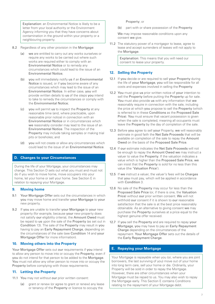<span id="page-6-0"></span>Explanation: an Environmental Notice is likely to be a letter from your local authority or the Environment Agency informing you that they have concerns about contamination in the ground within your property or a neighbouring property.

- 8.2 Regardless of any other provision in the Mortgage:
	- (a) we are entitled to carry out any works ourselves or require any works to be carried out where such works are required either to comply with an Environmental Notice or to remedy any circumstances which could lead to the issue of an Environmental Notice;
	- (b) you will immediately notify us if an Environmental Notice is issued, or if you become aware of any circumstances which may lead to the issue of an Environmental Notice. In either case, you will provide written details to us of the steps you intend to take to remedy the circumstances or comply with the Environmental Notice;
	- (c) you will permit us to inspect the Property at any reasonable time (and, where practicable, upon reasonable prior notice) in connection with an Environmental Notice or in circumstances which we reasonably consider may lead to the issue of an Environmental Notice. The inspection of the Property may include taking samples or making trial pits or boreholes; and
	- (d) you will not create or allow any circumstances which could lead to the issue of an Environmental Notice.

# **D. Changes to your Circumstances**

During the life of your Mortgage, your circumstances may change. This Section D sets out what you must and must not do if you wish to move home, move occupiers into your home, let your home or sell your home. See Section E in relation to repaying your Mortgage.

## **9. Moving home**

- 9.1 Your Mortgage Offer sets out the circumstances in which you may move home and transfer your Mortgage to your new property.
- 9.2 If you are unable to transfer your Mortgage to your new property (for example, because your new property does not satisfy our eligibility criteria), the Amount Owed must be repaid to us upon the sale of the Property (as set out in Condition 13). The sale of the Property may result in you having to pay an Early Repayment Charge, depending on the circumstances of the sale (see Condition 14 and your Mortgage Offer for more information).

## **10. Moving others into the Property**

Your Mortgage Offer sets out our requirements if you intend to allow any person to move into or occupy the Property, even if you do not intend for that person to be added to the Mortgage. You must not allow any other person to move into or occupy the Property before complying with those requirements.

## **11. Letting the Property**

11.1 You may not without our prior written consent:

(a) grant or renew (or agree to grant or renew) any lease or tenancy of the Property or licence to occupy the

Property; or

part with or share possession of the Property.

We may impose reasonable conditions upon any consent we give.

11.2 The statutory power of a mortgagor to lease, agree to lease and accept surrenders of leases will not apply to the Mortgage.

> Explanation: This means that you will need our consent to lease your property.

## **12. Selling the Property**

- 12.1 If you decide or are required to sell your Property during the life of your Mortgage, you will be responsible for all costs and expenses involved in selling the Property.
- 12.2 You must give us prior written notice of your intention to sell the Property before putting the Property up for sale. You must also provide us with any information that we reasonably require in connection with the sale, including the price at which you propose to sell the Property (which is referred to in these Conditions as the Proposed Sale Price). You must ensure that vacant possession is given when the sale is completed, meaning all occupants must leave the Property by the day of completion of the sale.
- 12.3 Before you agree to sell your Property, we will reasonably estimate in good faith the Net Sale Proceeds that will be available on completion of the sale to repay the Amount Owed on the basis of the Proposed Sale Price.
- 12.4 If our estimate indicates the Net Sale Proceeds will not be enough to repay the Amount Owed we may instruct a valuer to value the Property. If the valuation indicates a value which is higher than the Proposed Sale Price, we can insist that the Property is sold for no less than this value (the 'Valuation Price').
- 12.5 If we instruct a valuer, the valuer's fees will be Charges that you must pay, which will be applied in accordance with Condition 3.
- 12.6 No sale of the Property may occur for less than the Proposed Sale Price (or, if there is one, the Valuation Price) without our prior written consent. We will not withhold our consent if it is shown to our reasonable satisfaction that the sale is at the best price reasonably obtainable. As an alternative to giving consent we may purchase the Property ourselves at a price equal to the highest genuine offer received.
- 12.7 If you sell the Property and are required to repay your Mortgage, you may have to pay an Early Repayment Charge depending on the circumstances of the repayment. Your Mortgage Offer sets out the details of the Early Repayment Charge.

## **E. Repaying your Mortgage**

Your Mortgage is repayable when you (or, where you are joint borrowers, the last surviving of you) move out of your home into long term care, sell your home or die. Ordinarily, your Property will be sold in order to repay the Mortgage. However, there are other circumstances when your Mortgage must be repaid to us. You may also wish to repay the Mortgage early. This Section E contains Conditions relating to the repayment of your Mortgage debt.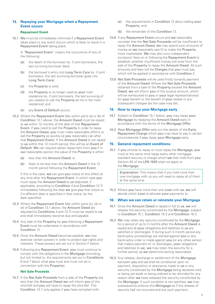## <span id="page-7-0"></span>**13. Repaying your Mortgage when a Repayment Event occurs**

#### **Repayment Event**

13.1 We must be immediately informed if a Repayment Event takes place or any event occurs which is likely to result in a Repayment Event taking place.

A "Repayment Event" means the occurrence of any of the following:

- (a) the death of the borrower (or, if joint borrowers, the last surviving borrower dies);
- (b) the borrower's entry into Long Term Care (or, if joint borrowers, the last surviving borrower goes into Long Term Care);
- (c) the Property is sold;
- (d) the Property is no longer used as your main residence (or, if joint borrowers, the last surviving of you ceases to use the Property as his or her main residence); and
- (e) any Event of Default occurs.
- 13.2 Where the Repayment Event falls within parts (a) or (b) of Condition 13.1 above, the Amount Owed must be repaid to us within 12 months of the date of that Repayment Event. If you need to sell the Property in order to repay the Amount Owed, you must make reasonable efforts to sell the Property as quickly as you reasonably can after that Repayment Event. If the Amount Owed is not repaid to us within this 12 month period, this will be an Event of Default. We can request earlier repayment from you if in our reasonable opinion the value of the Property is either:
	- (a) less than the Amount Owed; or
	- (b) likely to be less than the Amount Owed in the 12 month period following the Repayment Event.

If this is the case, we can give you notice to this effect at any time after the Repayment Event, in which case you must repay the Amount Owed to us (adjusted, if applicable, according to Condition 4 and Condition 13.7) immediately following the date we give you that notice or, if a different date is specified in that notice, by the date specified.

- 13.3 Where the Repayment Event falls within parts (c), (d) or (e) of Condition 13.1 above, the Amount Owed (as adjusted by Conditions 4 and 13.7) must be repaid to us and shall immediately become due and payable.
- 13.4 Any sale of the Property by you following a Repayment Event must be undertaken in accordance with Condition 12.
- 13.5 Once the Amount Owed becomes payable, we may exercise certain powers in order to protect our rights and interests. These powers are set out in Section F below.
- 13.6 Following any Repayment Event, you must continue to comply with the obligations in the Mortgage (including, but not limited to, the requirements set out in Conditions 6 and 7 about what you must and must not do in connection with the Property).

#### **Net Sale Proceeds**

13.7 If the Net Sale Proceeds from a sale of the Property are less than the Amount Owed we will inform you of the shortfall and you will have to repay the shortfall. This Condition 13.7 only applies if you have complied with:

- (a) the requirements in Condition 12 about selling your Property; and
- (b) the remainder of this Condition 13.
- 13.8 If any Repayment Event occurs and we reasonably consider that the Net Sale Proceeds will be insufficient to repay the Amount Owed, we may spend such amounts of money as we reasonably see fit to make the Property more marketable. We may also incur independent surveyors' fees on or following the Repayment Event to establish whether insufficient money will arise from the sale of the Property to repay the Amount Owed. All such amounts and fees will be Charges that you must pay, which will be applied in accordance with Condition 3.
- 13.9 Net Sale Proceeds will be used firstly towards payment of the Amount Owed. Where the Net Sale Proceeds obtained from a sale of the Property exceed the Amount Owed, we will inform you of the surplus amount, which will be reimbursed to you or your legal representative(s) for your benefit or the benefit of your estate or any subsequent chargee (as the case may be).

## **14. How to repay your Mortgage early**

- 14.1 Subject to Condition 15.1 below, you may repay your Mortgage by repaying the Amount Owed early in accordance with the terms of the Mortgage Offer.
- 14.2 Your Mortgage Offer sets out the details of the Early Repayment Charge which you may have to pay in certain circumstances if you repay your Mortgage early.

## **15. General repayment conditions**

15.1 If you choose to repay or must repay the Mortgage, you must at the same time repay every other mortgage, standard security or charge which we then hold from you. Section 93 of the LPA 1925 shall not apply to the Mortgage.

> Explanation: This means that if you hold more than one mortgage with us you will need to repay all of them at the same time.

15.2 Where you have more than one Loan with us, we will decide which Loan to allocate your payments to.

## **16. When we can retain or reinstate your Mortgage**

- 16.1 Once the Amount Owed is repaid in full to us, we will release the security constituted by the Mortgage, subject to Condition 15.1, Condition 16.2 and Condition 16.3.
- 16.2 We may retain any security constituted by the Mortgage for a period of up to 3 months after the Amount Owed is repaid and all your obligations and liabilities to us are satisfied or discharged. If during such 3-month period any bankruptcy proceedings are started against you or any bankruptcy order is made against you (or any other person that makes payment of, or discharges, your obligations and liabilities to us), we may retain the security for a further period, as we determine (acting reasonably).
- 16.3 Any release, discharge or settlement of the Mortgage between you and us shall be conditional upon no payment, disposition or assurance made to us or any security constituted by the Mortgage being declared void, or being set aside or being ordered to be refunded for any reason after we have released the security constituted by the Mortgage. If such condition is not satisfied, we may subsequently enforce this Mortgage as if the release of security had not occurred and any such payment,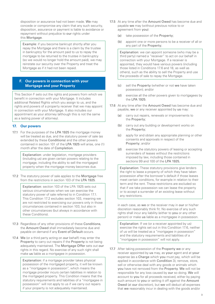<span id="page-8-0"></span>disposition or assurance had not been made. We may concede or compromise any claim that any such security, disposition, assurance or payment is liable to avoidance or repayment without prejudice to our rights under this Mortgage.

Example: if you become bankrupt shortly after you repay the Mortgage and there is a claim by the trustee in bankruptcy for the amount paid to us to repay the mortgage to be returned to the trustee in bankruptcy (so we would no longer hold the amount paid), we may reinstate our security over the Property and treat the Mortgage as if it had not been repaid.

## **F. Our powers in connection with your Mortgage and your Property**

This Section F sets out the rights and powers from which we benefit in connection with your Mortgage. It includes additional Related Rights which you assign to us, and the rights and powers of a property receiver that we may appoint in connection with your Mortgage. It also includes our appointment as your attorney (although this is not the same as a lasting power of attorney).

# **17. Our powers**

17.1 For the purposes of the LPA 1925 the mortgage money will be treated as due, and the statutory power of sale (as extended by these Conditions) and the other powers contained in section 101 of the LPA 1925 will arise, one (1) month after the date of Completion.

> Explanation: under legislation, mortgage providers (including us) are given certain powers relating to the mortgage, including the ability to sell the mortgaged property when the mortgage money becomes due.

17.2 The statutory power of sale applies to the Mortgage free from the restrictions in section 103 of the LPA 1925.

> Explanation: section 103 of the LPA 1925 sets out various circumstances when we can exercise the statutory power of sale referred to in Condition 17.1. This Condition 17.2 excludes section 103, meaning we are not restricted to exercising our powers only in those circumstances contained in section 103, but also in other circumstances (but always in accordance with these Conditions).

- 17.3 Regardless of any other provisions of these Conditions. the Amount Owed shall immediately become due and payable on demand if any Event of Default occurs.
- 17.4 We (or a third party acting on our behalf) may enter the Property to carry out repairs if the Property is not being adequately maintained. The Mortgage Offer sets out our rights in this regard. No exercise of any such right shall make us liable as a mortgagee in possession.

Explanation: if a mortgage provider takes physical possession of the mortgaged property, it will be known as a "mortgagee in possession", which means the mortgage provider incurs certain liabilities in relation to the mortgaged property. This Condition means that the statutory requirements and liabilities of a "mortgagee in possession" will not apply to us if we carry out repairs if your property is not adequately maintained.

- 17.5 At any time after the Amount Owed has become due and payable we may (without previous notice to or agreement from you):
	- (a) take possession of the Property:
	- (b) appoint one or more persons to be a receiver of all or any part of the Property;

Explanation: we can appoint someone (who may be a third party) named a "receiver" to act on our behalf in connection with your Mortgage. If a receiver is appointed, they would have various powers (including those listed in Conditions 17.6 and 18, as well as others), such as the ability to sell the Property and use the proceeds of sale to repay the Mortgage.

- (c) sell the Property (whether or not we have taken possession); and/or
- (d) exercise all the other powers given to mortgagees by the LPA 1925.
- 17.6 At any time after the Amount Owed has become due and payable, we or any receiver appointed by us may:
	- (a) carry out repairs, renewals or improvements to the Property;
	- (b) carry out any building or development works on the Property;
	- (c) apply for and obtain any appropriate planning or other consents and approvals in respect of the Property; and/or
	- (d) exercise the statutory powers of leasing or accepting surrenders of leases without the restrictions imposed by law, including those contained in sections 99 and 100 of the LPA 1925,

Explanation: These statutory provisions give lenders the right to lease a property of which they have taken possession after the borrower's default if those leases meet certain conditions, for example in relation to their term and the rent. These restrictions are excluded so that if we take possession we can lease the property or to accept a surrender of an existing lease without any restrictions.

in each case, as we or the receiver may in our or his/her discretion reasonably think fit. No exercise of any such rights shall incur any liability (either to you or any other person) or make us liable as a mortgagee in possession.

Explanation: If we (or a receiver appointed by us) exercise the rights set out in this Condition 17.6, neither of us will be treated as a "mortgagee in possession" and the statutory requirements and liabilities of a "mortgagee in possession" will not apply.

17.7 After taking possession of the Property we or any receiver appointed by us may, as your agent and at your expense (as a Charge which you must pay, which will be applied in accordance with Condition 3), remove, store, sell or otherwise deal with any goods or animals which you have not removed from the Property. We will not be responsible for any loss caused by our so doing. We will account to you for all proceeds received, either by paying such amount to you or setting it off against the Amount Owed (at our discretion), but we will deduct all expenses that we reasonably incur in dealing with the goods and/or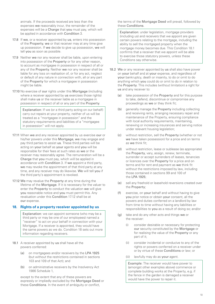<span id="page-9-0"></span>animals. If the proceeds received are less than the expenses we reasonably incur, the remainder of the expenses will be a Charge that you must pay, which will be applied in accordance with Condition 3.

- 17.8 If we, or a receiver appointed by us, enters into possession of the Property, we or that receiver may at any time give up possession. If we decide to give up possession, we will tell you as soon as possible.
- 17.9 Neither we nor any receiver shall be liable, upon entering into possession of the Property or for any other reason, to account as mortgagee in possession in respect of all or any of the Property. Neither we nor any receiver shall be liable for any loss on realisation of, or for any act, neglect or default of any nature in connection with, all or any part of the Property for which a mortgagee in possession might be liable.
- 17.10 No exercise of our rights under this Mortgage (including where a receiver appointed by us exercises those rights) shall make us or the receiver liable as a mortgagee in possession in respect of all or any part of the Property.

Explanation: If we (or a third party acting on our behalf) carry out repairs at your property, neither of us will be treated as a "mortgagee in possession" and the statutory requirements and liabilities of a "mortgagee" in possession" will not apply.

- 17.11 When we and any receiver appointed by us exercise our or his/her powers under this Mortgage, we may engage and pay third parties to assist us. These third parties will be acting on your behalf as your agents and you will be responsible for their fees at such rates as we or the receiver may reasonably agree. The remuneration will be a Charge that you must pay, which will be applied in accordance with Condition 3. If we appoint a third party, we may revoke the appointment of that third party at any time, and any receiver may do likewise. We will tell you if the third party's appointment is revoked.
- 17.12 We may revalue the Property at any time during the lifetime of the Mortgage. If it is necessary for the valuer to enter the Property to conduct the valuation we will give you reasonable notice and you must permit this. Any revaluation under this Condition 17.12 shall be at our expense.

## **18. Rights of a property receiver appointed by us**

Explanation: we can appoint someone (who may be a third party or may be one of our employees) named a "receiver" to act on your behalf in connection with your Mortgage. If a receiver is appointed, they would have the same powers as we do. Condition 18 sets out more information regarding receivers.

- 18.1 A receiver appointed by us shall have all the powers conferred:
	- (a) on mortgagees and/or receivers by the LPA 1925 (but without the restrictions contained in sections 103 and 109 of that Act); and
	- (b) on administrative receivers by the Insolvency Act 1986 Schedule 1,

except to the extent that any of these powers are expressly or impliedly excluded by the Mortgage Deed or these Conditions. In the event of ambiguity or conflict,

the terms of the Mortgage Deed will prevail, followed by these Conditions.

Explanation: under legislation, mortgage providers (including us) and receivers that we appoint are given certain powers relating to the mortgage, including the ability to sell the mortgaged property when the mortgage money becomes due. This Condition 18.1 confirms that a receiver that we appoint will be able to exercise those statutory powers, unless these Conditions say otherwise.

- 18.2 We or any receiver appointed by us shall also have power on your behalf and at your expense, and regardless of your bankruptcy, death or insanity, to do or omit to do anything which you could do or omit to do in relation to the Property. This includes (without limitation) a right for us and any receiver to:
	- (a) take possession of the Property and for this purpose to take, defend, discontinue or compromise any proceedings as we or they think fit;
	- (b) generally manage the Property including collecting and receiving rents, arranging necessary repair and maintenance of the Property, ensuring compliance with local authority requirements, maintaining, renewing or increasing insurances and serving notice under relevant housing legislation;
	- (c) without restriction, sell the Property (whether or not we have taken possession) for a price and on terms as we think fit;
	- (d) without restriction, lease or sublease (as appropriate) the Property, vary, assign, renew, terminate, surrender or accept surrenders of leases, tenancies or licences over the Property for a price and on terms and for rent and payment as we think fit without the restrictions imposed by law, including those contained in sections 99 and 100 of the LPA 1925;
	- (e) sell any freehold or leasehold reversions created over the Property;
	- (f) exercise, on your behalf and without having to give you prior notice or obtain your consent, all the powers and duties conferred on a landlord by law from time to time without having any liabilities or responsibilities to you as a result of doing so; and/or
	- (g) take and do any other acts and things we or the receiver:
		- (i) consider desirable or necessary for protecting our security constituted by the Mortgage or for realising the value of the Property or any part of it;
		- (ii) consider incidental or conducive to any of the rights or powers conferred on a receiver under or by virtue of these Conditions or law; or
		- (iii) lawfully may do as your agent.

Example: The receiver would have power to (amongst other examples above) commence or complete building works at the Property, e.g. if the fence in the garden is damaged a receiver would have the power to repair it.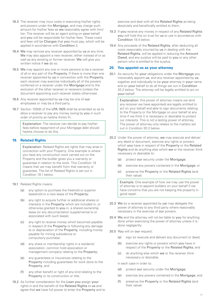- <span id="page-10-0"></span>18.3 The receiver may incur costs in exercising his/her rights and powers under the Mortgage, and may charge such amount for his/her fees as we reasonably agree with him/ her. The receiver will be an agent acting on your behalf and you will be responsible for his/her fees. These costs and fees will be Charges that you must pay, which will be applied in accordance with Condition 3.
- 18.4 We may remove any receiver appointed by us at any time. We may also appoint a new receiver, either instead of or as well as any existing or former receiver. We will give you written notice if we do so.
- 18.5 We may appoint any one or more persons to be a receiver of all or any part of the Property. If there is more than one receiver appointed by us in connection with the Property, each receiver may exercise individually all of the powers conferred on a receiver under the Mortgage and to the exclusion of the other receiver or receivers (unless the document appointing such receiver states otherwise).
- 18.6 Any receiver appointed by us may be one of our employees or may be a third party.
- 18.7 Section 109(8) of the LPA 1925 shall be amended so as to allow a receiver to pay any money owing by you in such order of priority as he/she thinks fit.

Explanation: The receiver can decide to pay his/her fees before repayment of your Mortgage debt should he/she choose to do this.

# **19. Related Rights**

Explanation: Related Rights are rights that may arise in connection with your Property. One example is where you have any construction work carried out on the Property and the builder gives you a warranty or guarantee in relation to the work. This Condition 19 means that we may benefit from that warranty or guarantee. The list of Related Rights is set out in Condition 19.1 below.

- 19.1 Related Rights means:
	- (a) any option to purchase the freehold or superior leasehold or a new lease of the Property;
	- (b) any right to acquire further or additional shares or interests in the Property which are included in, or otherwise granted to you in, a shared ownership lease (or any documentation supplemental to or associated with such lease);
	- (c) any right to receive money which becomes payable in respect of the Property or following any damage to or depreciation of the Property, including money payable for mining subsidence or compulsory purchase;
	- (d) any share or membership rights in a residents' association, common hold association or management company relating to the Property;
	- (e) any guarantees or insurances relating to the Property including guarantees for work done to the Property; and
	- (f) any other benefit or right of any kind relating to the Property or its construction or title.
- 19.2 As further consideration for the Loan you assign your rights in and the benefit of the Related Rights to us and agree that we have full power to enter the Property and to

exercise and deal with all the Related Rights as being absolutely and beneficially entitled to them.

- 19.3 If you receive any money in respect of any Related Rights you will hold this on trust for us to use in accordance with Condition 19.4 below.
- 19.4 Any proceeds of the Related Rights, after deducting all costs reasonably incurred by us in dealing with the Related Rights, will be applied in reducing the Amount Owed, and any surplus will be paid to you or any other person who is entitled to the surplus.

## **20. You appoint us as your attorney**

20.1 As security for your obligations under the Mortgage you irrevocably appoint us, and any receiver appointed by us, together and individually to be your attorney in your name and on your behalf to do all things set out in Condition 20.2 below. The attorney will be legally entitled to act on your behalf.

> Explanation: this power of attorney means we (and any receiver we have appointed) are legally entitled to act on your behalf and able to sign documents relating to the Property or the Mortgage on your behalf at any time if we think it is necessary or desirable to protect our interests. This is not a lasting power of attorney. The power of attorney only relates to the matters set out in Condition 20.2 below.

- 20.2 Under the power of attorney, we may execute and deliver any deed or document, exercise any rights or powers which you have in respect of the Property or the Related Rights and do anything else which we or the receiver think necessary or desirable to:
	- (a) protect our security under the Mortgage;
	- (b) exercise any powers contained in the Mortgage; or
	- (c) preserve the Property or the Related Rights (and their value).

Example: One example of how we may use the power of attorney is to appoint builders on your behalf if we have concerns that you are not keeping the property in good repair.

- 20.3 We (or a receiver appointed by us) may delegate the power of attorney to any third party where reasonably necessary in the exercise of our powers.
- 20.4 We and the attorney will not be liable to you for anything done when exercising the power of attorney unless it is done negligently.
- 20.5 You will on our request:
	- (a) sign (or execute and deliver) any document or deed;
	- (b) exercise any rights or powers which you have in respect of the Property or the Related Rights; and
	- (c) do anything else which we or the receiver think necessary or desirable,

in each case in order to:

- (d) protect our security under the Mortgage:
- (e) exercise any powers contained in the Mortgage; and
- (f) preserve the Property or the Related Rights (and their value).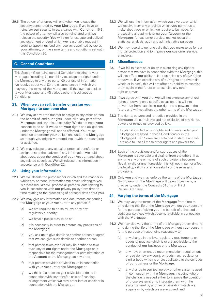<span id="page-11-0"></span>20.6 The power of attorney will end when we release the security constituted by your Mortgage. If we have to reinstate our security in accordance with Condition 16.3, the power of attorney will also be reinstated until we release the security. You will sign (or execute and deliver) any document or deed which we reasonably request in order to appoint us (and any receiver appointed by us) as your attorney, on the same terms and conditions set out in this Condition 20.

# **G. General Conditions**

This Section G contains general Conditions relating to your Mortgage, including: (1) our ability to assign our rights under the Mortgage to any third party; (2) our use of information we receive about you; (3) the circumstances in which we may vary the terms of the Mortgage; (4) the law that applies to your Mortgage; and (5) various other miscellaneous Conditions.

## **21. When we can sell, transfer or assign your Mortgage to someone else**

- 21.1 We may at any time transfer or assign to any other person the benefit of, and our rights under, all or any part of the Mortgage and any related security. We do not need your consent to do so. If we do so, your rights and obligations under the Mortgage will not be affected. You must continue to perform your obligations under the Mortgage as though you originally entered into it with the transferee or assignee.
- 21.2 We may release to any actual or potential transferee or assignee (and their advisers) any information we hold about you, about the conduct of your Account and about any related securities. We will release this information in accordance with Condition 22.

## **22. Using your information**

- 22.1 We will decide the purposes for which and the manner in which any personal information we obtain relating to you is processed. We will process all personal data relating to you in accordance with our privacy policy from time to time relating to the processing of personal data about you.
- 22.2 We may give any information and documents concerning the Mortgage or your Account to any person if:
	- (a) we are required to do so by law or by any regulatory authority;
	- (b) we have a public duty to do so;
	- (c) it is necessary in order to enforce any provisions of the Mortgage;
	- (d) you ask us to give details to another person or agree that we can give such details to another person;
	- (e) that person takes over, or may be entitled to take over, any of our rights under the Mortgage or is responsible for the management or administration of the Account or the Mortgage at any time;
	- (f) that person provides services to us in connection with your Account or the Mortgage; or
	- (g) we think it is necessary or advisable to do so in connection with any transfer, sale or financing arrangement which we may enter into or consider in connection with the Mortgage.
- 22.3 We will use the information which you give us, or which we receive from any enquiries which you permit us to make about you or which we require to be made, for processing and administering your Account or the Mortgage, for customer service, market research, statistical analysis, audit and administrative purposes.
- 22.4 We may record telephone calls that you make to us for our mutual protection and to improve our customer service standards.

## **23. Miscellaneous**

- 23.1 If we fail to exercise or delay in exercising any right or power that we have in connection with the Mortgage, this will not affect our ability to later exercise any of our rights or powers. If we exercise any of our rights or powers (in whole or in part), this will not affect our ability to exercise them again in the future or to exercise any other right or power.
- 23.2 If we agree with you that we will not exercise any of our rights or powers on a specific occasion, this will not prevent us from exercising our rights and powers in the future and will not affect the other terms of the Mortgage.
- 23.3 The rights, powers and remedies provided in the Mortgage are cumulative and not exclusive of any rights, powers or remedies provided by law.

Explanation: Not all our rights and powers under your Mortgage are listed in these Conditions or in the Mortgage Offer. Some are contained in statute and we are able to use all those other rights and powers too.

- 23.4 Each of the provisions and/or sub-clauses of the Mortgage is severable and distinct from the others. If at any time any one or more of such provisions becomes illegal, invalid or unenforceable, this will not impair or affect the legality, validity or enforceability of the remaining provisions.
- 23.5 Only you and we may enforce the terms of the Mortgage. No provision of the **Mortgage** will be enforceable by a third party under the Contracts (Rights of Third Parties) Act 1999.

## **24. Varying the terms of the Mortgage**

- 24.1 We may vary the terms of the Mortgage from time to time during the life of the Mortgage without your consent for the purpose of giving you the benefit of enhanced or additional services which become available in connection with the Mortgage.
- 24.2 We may also vary the terms of the Mortgage from time to time during the life of the Mortgage without your consent for the purpose of responding reasonably to:
	- (a) any change in the law, regulatory requirements or codes of practice which is or are applicable to the conduct of our business or the Mortgage:
	- (b) any new or amended recommendation, requirement or decision by any court, ombudsman, regulator or similar body which is or are applicable to the conduct of our business or the Mortgage;
	- (c) any change to our technology or other systems used in connection with the Mortgage, including where the change is needed either to improve the operation of those systems or to integrate them with the systems used by another organisation which we acquire or by which we are acquired; and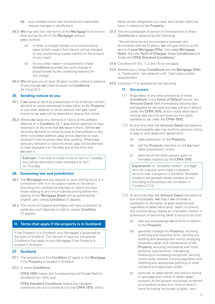- <span id="page-12-0"></span>(d) any mistakes which are identified and reasonably require changes or rectification.
- 24.3 We may also vary the terms of the Mortgage from time to time during the life of the Mortgage without your consent:
	- (a) in order to charge interest on a compounding basis (which means that interest will be charged on any outstanding unpaid interest on the amount of your loan);
	- (b) for any other reason not specified in these Conditions provided any such change is proportionate to the underlying reasons for the change.
- 24.4 We will give you at least 30 days' written notice in advance of any change we make pursuant to Conditions 24.2 and 24.3.

## **25. Sending notices to you**

- 25.1 If we leave or send by prepaid post or by email any written demand or notice addressed to you either to the Property or any other address or email address that you make known to us, you will be deemed to receive the notice.
- 25.2 Where we leave any demand or notice at the address referred to in Condition 25.1, you will be deemed to have received it at the time that we leave it there. Where we send any demand or notice by post to that address or any other nominated address, you will be deemed to have received it two business days after posting. Where we send any demand or notice by email, you will be deemed to have received it on the date and at the time that we sent it.

Example: if we post a notice to you at 1pm on Tuesday, you will be deemed to have received it at 1pm on Thursday.

## **26. Governing law and jurisdiction**

- 26.1 The Mortgage and any dispute or claim arising out of or in connection with it or its subject matter or formation (including non-contractual disputes or claims and also those relating to any circumstances arising before the signing of the Mortgage Deed) will be governed by English Law, unless Condition 27 applies.
- 26.2 The courts of England and Wales will have jurisdiction to settle any such disputes or claims, unless Condition 27 applies.

## **H. Terms that apply if the property is in Scotland**

If the Property is in Scotland, your Mortgage is governed by the laws of Scotland. This Section H sets out the special Conditions that apply to your Mortgage if the Property is located in Scotland.

## **27. Scotland**

- 27.1 The provisions of this Condition 27 apply to the Mortgage if the Property is located in Scotland.
- 27.2 In these Conditions:

CFRA 1970 means the Conveyancing and Feudal Reform (Scotland) Act 1970; and

CFRA Standard Conditions means the standard conditions set out in schedule 3 to the CFRA 1970, which detail certain obligations you have, and certain rights we have, in relation to the Property.

27.3 The third paragraph of section A (Introduction) of these Conditions is replaced by the following:

"Should there be any inconsistency between the documents referred to above, we will give priority to the terms of your Mortgage Offer, then your Mortgage Deed, then the Tariff of Charges, these Conditions and finally the CFRA Standard Conditions."

- 27.4 Conditions 6.1(h), 11.2 and 18 do not apply.
- 27.5 References in these Conditions and the Mortgage Offer to "bankruptcy" are replaced with "bankruptcy and/or sequestration
- 27.6 Condition 17 is replaced by the following:

## **17. Our powers**

- 17.1 Regardless of any other provisions of these Conditions, if any Event of Default occurs, the Amount Owed shall immediately become due and payable on demand and you will be in default under the CFRA 1970, which would allow us to enforce our security and exercise the rights available to us under the CFRA 1970.
- 17.2 At any time after the **Amount Owed** has become due and payable, we may (without previous notice to you or with your prior agreement):
	- (a) take possession of the Property;
	- (b) sell the Property (whether or not we have taken possession); and/or
	- (c) exercise all the other powers given to heritable creditors by the CFRA 1970.

Explanation: A "heritable creditor" is a legal term for a person who holds a standard security over a property in Scotland. Heritable creditors are granted certain powers by law (including those powers set out below in Condition 17.3).

- 17.3 At any time after the Amount Owed has become due and payable, we may if we consider it necessary or desirable, at your expense and regardless of your bankruptcy, death or insanity and without being treated as a heritable creditor in possession or becoming liable to account as such:
	- (a) take any proceedings we think fit in relation to the Property;
	- (b) generally manage the Property, including collecting and receiving rents, carrying out building and development works, arranging necessary repair and maintenance of the Property, ensuring compliance with local authority requirements, maintaining, renewing or increasing insurances, serving notice under relevant housing legislation and obtaining any appropriate planning or other consents and approvals; and/or
	- (c) exercise, on your behalf and without having to give you prior notice or obtain your consent, all the powers and duties conferred on a landlord by law from time to time in force (including the power to grant, vary,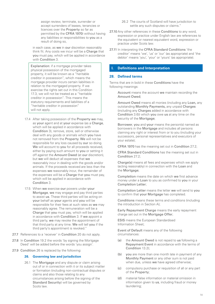<span id="page-13-0"></span>assign review, terminate, surrender or accept surrenders of leases, tenancies or licences over the Property so far as permitted by the CFRA 1970) without having any liabilities or responsibilities to you as a result of doing so,

in each case, as we in our discretion reasonably think fit. Any costs we incur will be a Charge that you must pay, which will be applied in accordance with Condition 3.

Explanation: if a mortgage provider takes physical possession of the mortgaged property, it will be known as a "heritable creditor in possession", which means the mortgage provider incurs certain liabilities in relation to the mortgaged property. If we exercise the rights set out in this Condition 17.3, we will not be treated as a "heritable creditor in possession". This means the statutory requirements and liabilities of a "heritable creditor in possession" will not apply.

- 17.4 After taking possession of the Property we may, as your agent and at your expense (as a Charge, which will be applied in accordance with Condition 3), remove, store, sell or otherwise deal with any goods or animals which you have not removed from the Property. We will not be responsible for any loss caused by our so doing. We will account to you for all proceeds received, either by paying such amount to you or setting it off against the Amount Owed (at our discretion), but we will deduct all expenses that we reasonably incur in dealing with the goods and/or animals. If the proceeds received are less than the expenses we reasonably incur, the remainder of the expenses will be a Charge that you must pay, which will be applied in accordance with Condition 3.
- 17.5 When we exercise our powers under your Mortgage, we may engage and pay third parties to assist us. These third parties will be acting on your behalf as your agents and you will be responsible for their fees at such rates as we may reasonably agree. The remuneration will be a Charge that you must pay, which will be applied in accordance with Condition 3. If we appoint a third party, we may revoke the appointment of that third party at any time. We will tell you if the third party's appointment is revoked."
- 27.7 References to a 'receiver' in Condition 20 do not apply.
- 27.8 In Condition 19.2 the words 'by signing the Mortgage Deed' will be added before the words 'you assign'.
- 27.9 Condition 26 is replaced by the following:

## **26. Governing law and jurisdiction**

26.1 The Mortgage and any dispute or claim arising out of or in connection with it or its subject matter or formation (including non-contractual disputes or claims and also those relating to any circumstances arising before the signing of the Standard Security) will be governed by Scots law.

- 26.2 The courts of Scotland will have jurisdiction to settle any such disputes or claims."
- 27.10 Any other references in these Conditions to any word. expression or practice under English law are references to the equivalent or nearest equivalent word, expression or practice under Scots law.
- 27.11 In interpreting the CFRA Standard Conditions 'the creditor' means 'we', 'us' or 'our' (as appropriate) and 'the debtor' means 'you', 'your' or 'yours' (as appropriate).

## **I. Definitions and Interpretation**

#### **28. Defined terms**

Terms that are in bold in these Conditions have the following meanings:

Account means the account we maintain recording the Amount Owed;

Amount Owed means all monies (including any Loan, any outstanding Monthly Payments, any unpaid Charges (including any Charges added in accordance with Condition 3.6)) which you owe us at any time on the security of the Mortgage;

Borrower, you and your means the person(s) named as borrowers in the Mortgage and includes all persons claiming any right or interest from or to you (including your successors, personal representatives and executors of your estate);

CFRA 1970 has the meaning set out in Condition 27.2;

CFRA Standard Conditions has the meaning set out in Condition 27.2;

Charge(s) means all fees and expenses which we apply (acting reasonably) in connection with the Loan and the Mortgage;

Completion means the date on which we first advance money under a Loan to you as confirmed to you in your Completion Letter;

Completion Letter means the letter we will send to you to confirm that your Mortgage has completed.

Conditions means these terms and conditions (including the introduction in Section A);

Early Repayment Charge means the early repayment charge set out in the Mortgage Offer;

ESIS means the European Standardised Information Sheet;

Event of Default means any of the following circumstances:

- (a) the Amount Owed is not repaid to us following a Repayment Event in accordance with the terms of Condition 13.2);
- (b) you are more than one month late in payment of any Monthly Payment or any other sum is not paid when due, unless we have agreed otherwise;
- (c) compulsory purchase or requisition of all or any part of the Property;
- (d) material false information or material omission in information given to us, including fraud or money laundering;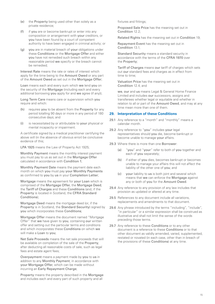- <span id="page-14-0"></span>(e) the Property being used other than solely as a private residence;
- (f) if you are or become bankrupt or enter into any composition or arrangement with your creditors, or you have been found by a court of competent authority to have been engaged in criminal activity; or
- (g) you are in material breach of your obligations under these Conditions or the Mortgage Offer and either you have not remedied such breach within any reasonable period we specify or the breach cannot be remedied;

Interest Rate means the rate or rates of interest which apply for the time being to the Amount Owed or any part of the Amount Owed as set out in the Mortgage Offer;

Loan means each and every sum which we lend you on the security of the Mortgage (including each and every additional borrowing you apply for and we agree (if any));

Long Term Care means care or supervision which you require and which:

- (h) requires you to be absent from the Property for any period totalling 90 days or more in any period of 180 consecutive days; and
- (i) is necessitated by or attributable to your physical or mental incapacity or impairment.

A certificate signed by a medical practitioner certifying the above will (in the absence of obvious error) be conclusive evidence of this;

LPA 1925 means the Law of Property Act 1925;

Monthly Payment means the monthly interest payment you must pay to us as set out in the Mortgage Offer calculated in accordance with Condition 1;

Monthly Payment Date means the payment date each month on which you must pay your Monthly Payments as confirmed to you by us in your Completion Letter;

Mortgage means the agreement for your Loan which is comprised of the Mortgage Offer, the Mortgage Deed, the Tariff of Charges and these Conditions (and, if the Property is located in Scotland, the CFRA Standard Conditions);

Mortgage Deed means the mortgage deed (or, if the Property is in Scotland, the Standard Security) signed by you which incorporates these Conditions;

Mortgage Offer means the document named "Mortgage Offer" that we have given to you, containing our written offer and setting out the particular terms and conditions and which incorporates these Conditions on which we will make a Loan to you;

Net Sale Proceeds means the net sale proceeds that will be available on completion of the sale of the Property, after deducting all reasonable costs of sale, such as legal fees and estate agent fees;

Overpayment means a payment made by you to us in addition to any Monthly Payment, in accordance with your Mortgage Offer, which can be made without incurring an Early Repayment Charge;

Property means the property described in the Mortgage and includes each and every part of such property and all

fixtures and fittings;

Proposed Sale Price has the meaning set out in Condition 12.2;

Related Rights has the meaning set out in Condition 19;

Repayment Event has the meaning set out in Condition 13.1<sup>-</sup>

Standard Security means a standard security in accordance with the terms of the CFRA 1970 over the Property;

Tariff of Charges means our tariff of charges which sets out our standard fees and charges as in effect from time to time;

Valuation Price has the meaning set out in Condition 12.4; and

we, our and us means Legal & General Home Finance Limited and includes our successors, assigns and transferees whether legal or equitable and whether in relation to all or part of the Amount Owed, and may at any time mean more than one of them.

## **29. Interpretation of these Conditions**

- 29.1 Any reference to a "month" and "monthly" means a calendar month.
- 29.2 Any reference to "you" includes your legal representatives should you die, become bankrupt or become unable to manage your affairs.
- 29.3 Where there is more than one Borrower:
	- (a) "you" and "your" refer to both of you together and each of you separately;
	- (b) if either of you dies, becomes bankrupt or becomes unable to manage your affairs this will not affect the liability of the other one of you; and
	- (c) your liability to us is both joint and several which means that we can enforce the Mortgage against any or both of you for the Amount Owed.
- 29.4 Any reference to any provision of any law includes that provision as updated or altered at any time.
- 29.5 References to any document include all variations, replacements and amendments to that document.
- 29.6 Any phrase introduced by the terms "including", "include", "in particular" or a similar expression shall be construed as illustrative and shall not limit the sense of the words preceding those terms.
- 29.7 Any reference to these Conditions or to any other document is a reference to these Conditions or to that other document as validly amended, varied, supplemented, restated or novated (in each case, other than in breach of the provisions of these Conditions) at any time.